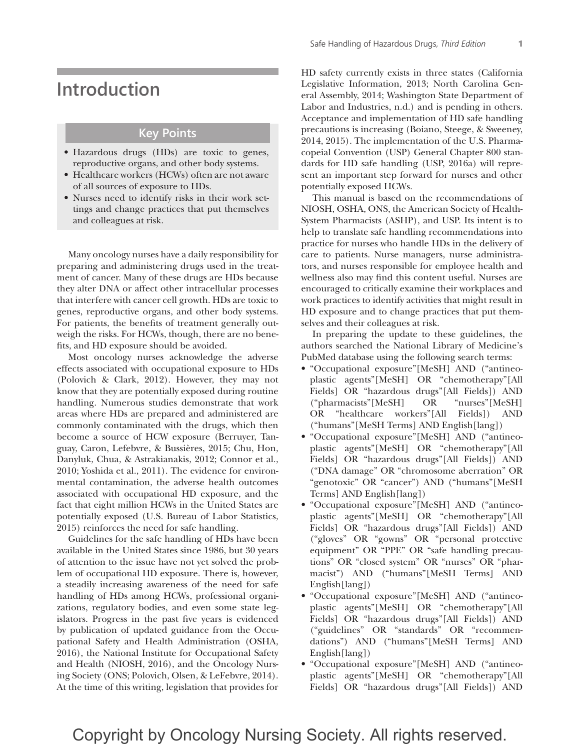# **Introduction**

#### **Key Points**

- Hazardous drugs (HDs) are toxic to genes, reproductive organs, and other body systems.
- Healthcare workers (HCWs) often are not aware of all sources of exposure to HDs.
- Nurses need to identify risks in their work settings and change practices that put themselves and colleagues at risk.

Many oncology nurses have a daily responsibility for preparing and administering drugs used in the treatment of cancer. Many of these drugs are HDs because they alter DNA or affect other intracellular processes that interfere with cancer cell growth. HDs are toxic to genes, reproductive organs, and other body systems. For patients, the benefits of treatment generally outweigh the risks. For HCWs, though, there are no benefits, and HD exposure should be avoided.

Most oncology nurses acknowledge the adverse effects associated with occupational exposure to HDs (Polovich & Clark, 2012). However, they may not know that they are potentially exposed during routine handling. Numerous studies demonstrate that work areas where HDs are prepared and administered are commonly contaminated with the drugs, which then become a source of HCW exposure (Berruyer, Tanguay, Caron, Lefebvre, & Bussières, 2015; Chu, Hon, Danyluk, Chua, & Astrakianakis, 2012; Connor et al., 2010; Yoshida et al., 2011). The evidence for environmental contamination, the adverse health outcomes associated with occupational HD exposure, and the fact that eight million HCWs in the United States are potentially exposed (U.S. Bureau of Labor Statistics, 2015) reinforces the need for safe handling.

Guidelines for the safe handling of HDs have been available in the United States since 1986, but 30 years of attention to the issue have not yet solved the problem of occupational HD exposure. There is, however, a steadily increasing awareness of the need for safe handling of HDs among HCWs, professional organizations, regulatory bodies, and even some state legislators. Progress in the past five years is evidenced by publication of updated guidance from the Occupational Safety and Health Administration (OSHA, 2016), the National Institute for Occupational Safety and Health (NIOSH, 2016), and the Oncology Nursing Society (ONS; Polovich, Olsen, & LeFebvre, 2014). At the time of this writing, legislation that provides for

HD safety currently exists in three states (California Legislative Information, 2013; North Carolina General Assembly, 2014; Washington State Department of Labor and Industries, n.d.) and is pending in others. Acceptance and implementation of HD safe handling precautions is increasing (Boiano, Steege, & Sweeney, 2014, 2015). The implementation of the U.S. Pharmacopeial Convention (USP) General Chapter 800 standards for HD safe handling (USP, 2016a) will represent an important step forward for nurses and other potentially exposed HCWs.

This manual is based on the recommendations of NIOSH, OSHA, ONS, the American Society of Health-System Pharmacists (ASHP), and USP. Its intent is to help to translate safe handling recommendations into practice for nurses who handle HDs in the delivery of care to patients. Nurse managers, nurse administrators, and nurses responsible for employee health and wellness also may find this content useful. Nurses are encouraged to critically examine their workplaces and work practices to identify activities that might result in HD exposure and to change practices that put themselves and their colleagues at risk.

In preparing the update to these guidelines, the authors searched the National Library of Medicine's PubMed database using the following search terms:

- "Occupational exposure"[MeSH] AND ("antineoplastic agents"[MeSH] OR "chemotherapy"[All Fields] OR "hazardous drugs"[All Fields]) AND ("pharmacists"[MeSH] OR "nurses"[MeSH] OR "healthcare workers"[All Fields]) AND ("humans"[MeSH Terms] AND English[lang])
- "Occupational exposure"[MeSH] AND ("antineoplastic agents"[MeSH] OR "chemotherapy"[All Fields] OR "hazardous drugs"[All Fields]) AND ("DNA damage" OR "chromosome aberration" OR "genotoxic" OR "cancer") AND ("humans"[MeSH Terms] AND English[lang])
- "Occupational exposure"[MeSH] AND ("antineoplastic agents"[MeSH] OR "chemotherapy"[All Fields] OR "hazardous drugs"[All Fields]) AND ("gloves" OR "gowns" OR "personal protective equipment" OR "PPE" OR "safe handling precautions" OR "closed system" OR "nurses" OR "pharmacist") AND ("humans"[MeSH Terms] AND English[lang])
- "Occupational exposure"[MeSH] AND ("antineoplastic agents"[MeSH] OR "chemotherapy"[All Fields] OR "hazardous drugs"[All Fields]) AND ("guidelines" OR "standards" OR "recommendations") AND ("humans"[MeSH Terms] AND English[lang])
- "Occupational exposure"[MeSH] AND ("antineoplastic agents"[MeSH] OR "chemotherapy"[All Fields] OR "hazardous drugs"[All Fields]) AND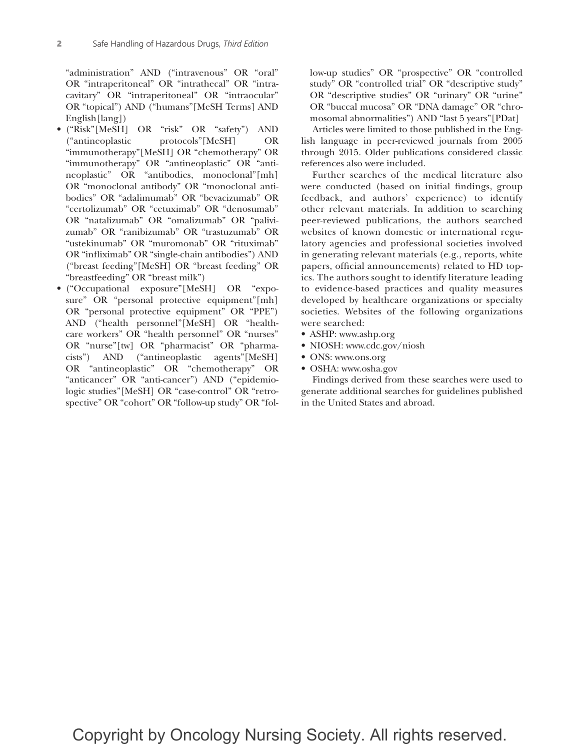"administration" AND ("intravenous" OR "oral" OR "intraperitoneal" OR "intrathecal" OR "intracavitary" OR "intraperitoneal" OR "intraocular" OR "topical") AND ("humans"[MeSH Terms] AND English[lang])

- ("Risk"[MeSH] OR "risk" OR "safety") AND ("antineoplastic protocols"[MeSH] OR "immunotherapy"[MeSH] OR "chemotherapy" OR "immunotherapy" OR "antineoplastic" OR "antineoplastic" OR "antibodies, monoclonal"[mh] OR "monoclonal antibody" OR "monoclonal antibodies" OR "adalimumab" OR "bevacizumab" OR "certolizumab" OR "cetuximab" OR "denosumab" OR "natalizumab" OR "omalizumab" OR "palivizumab" OR "ranibizumab" OR "trastuzumab" OR "ustekinumab" OR "muromonab" OR "rituximab" OR "infliximab" OR "single-chain antibodies") AND ("breast feeding"[MeSH] OR "breast feeding" OR "breastfeeding" OR "breast milk")
- ("Occupational exposure"[MeSH] OR "exposure" OR "personal protective equipment"[mh] OR "personal protective equipment" OR "PPE") AND ("health personnel"[MeSH] OR "healthcare workers" OR "health personnel" OR "nurses" OR "nurse"[tw] OR "pharmacist" OR "pharmacists") AND ("antineoplastic agents"[MeSH] OR "antineoplastic" OR "chemotherapy" OR "anticancer" OR "anti-cancer") AND ("epidemiologic studies"[MeSH] OR "case-control" OR "retrospective" OR "cohort" OR "follow-up study" OR "fol-

low-up studies" OR "prospective" OR "controlled study" OR "controlled trial" OR "descriptive study" OR "descriptive studies" OR "urinary" OR "urine" OR "buccal mucosa" OR "DNA damage" OR "chromosomal abnormalities") AND "last 5 years"[PDat]

Articles were limited to those published in the English language in peer-reviewed journals from 2005 through 2015. Older publications considered classic references also were included.

Further searches of the medical literature also were conducted (based on initial findings, group feedback, and authors' experience) to identify other relevant materials. In addition to searching peer-reviewed publications, the authors searched websites of known domestic or international regulatory agencies and professional societies involved in generating relevant materials (e.g., reports, white papers, official announcements) related to HD topics. The authors sought to identify literature leading to evidence-based practices and quality measures developed by healthcare organizations or specialty societies. Websites of the following organizations were searched:

- ASHP: www.ashp.org
- NIOSH: www.cdc.gov/niosh
- ONS: www.ons.org
- OSHA: www.osha.gov

Findings derived from these searches were used to generate additional searches for guidelines published in the United States and abroad.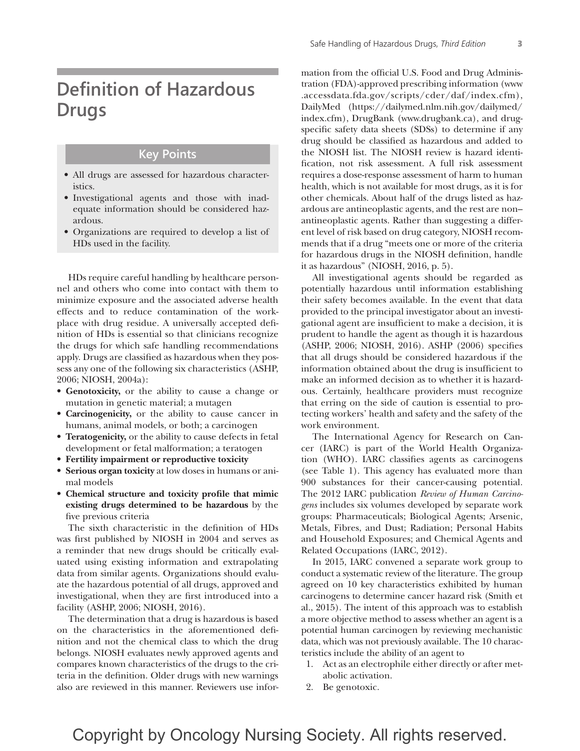# **Definition of Hazardous Drugs**

#### **Key Points**

- All drugs are assessed for hazardous characteristics.
- Investigational agents and those with inadequate information should be considered hazardous.
- Organizations are required to develop a list of HDs used in the facility.

HDs require careful handling by healthcare personnel and others who come into contact with them to minimize exposure and the associated adverse health effects and to reduce contamination of the workplace with drug residue. A universally accepted definition of HDs is essential so that clinicians recognize the drugs for which safe handling recommendations apply. Drugs are classified as hazardous when they possess any one of the following six characteristics (ASHP, 2006; NIOSH, 2004a):

- **Genotoxicity,** or the ability to cause a change or mutation in genetic material; a mutagen
- **Carcinogenicity,** or the ability to cause cancer in humans, animal models, or both; a carcinogen
- **Teratogenicity,** or the ability to cause defects in fetal development or fetal malformation; a teratogen
- **Fertility impairment or reproductive toxicity**
- **Serious organ toxicity** at low doses in humans or animal models
- **Chemical structure and toxicity profile that mimic existing drugs determined to be hazardous** by the five previous criteria

The sixth characteristic in the definition of HDs was first published by NIOSH in 2004 and serves as a reminder that new drugs should be critically evaluated using existing information and extrapolating data from similar agents. Organizations should evaluate the hazardous potential of all drugs, approved and investigational, when they are first introduced into a facility (ASHP, 2006; NIOSH, 2016).

The determination that a drug is hazardous is based on the characteristics in the aforementioned definition and not the chemical class to which the drug belongs. NIOSH evaluates newly approved agents and compares known characteristics of the drugs to the criteria in the definition. Older drugs with new warnings also are reviewed in this manner. Reviewers use infor-

mation from the official U.S. Food and Drug Administration (FDA)-approved prescribing information (www .accessdata.fda.gov/scripts/cder/daf/index.cfm), DailyMed (https://dailymed.nlm.nih.gov/dailymed/ index.cfm), DrugBank (www.drugbank.ca), and drugspecific safety data sheets (SDSs) to determine if any drug should be classified as hazardous and added to the NIOSH list. The NIOSH review is hazard identification, not risk assessment. A full risk assessment requires a dose-response assessment of harm to human health, which is not available for most drugs, as it is for other chemicals. About half of the drugs listed as hazardous are antineoplastic agents, and the rest are non– antineoplastic agents. Rather than suggesting a different level of risk based on drug category, NIOSH recommends that if a drug "meets one or more of the criteria for hazardous drugs in the NIOSH definition, handle it as hazardous" (NIOSH, 2016, p. 5).

All investigational agents should be regarded as potentially hazardous until information establishing their safety becomes available. In the event that data provided to the principal investigator about an investigational agent are insufficient to make a decision, it is prudent to handle the agent as though it is hazardous (ASHP, 2006; NIOSH, 2016). ASHP (2006) specifies that all drugs should be considered hazardous if the information obtained about the drug is insufficient to make an informed decision as to whether it is hazardous. Certainly, healthcare providers must recognize that erring on the side of caution is essential to protecting workers' health and safety and the safety of the work environment.

The International Agency for Research on Cancer (IARC) is part of the World Health Organization (WHO). IARC classifies agents as carcinogens (see Table 1). This agency has evaluated more than 900 substances for their cancer-causing potential. The 2012 IARC publication *Review of Human Carcinogens* includes six volumes developed by separate work groups: Pharmaceuticals; Biological Agents; Arsenic, Metals, Fibres, and Dust; Radiation; Personal Habits and Household Exposures; and Chemical Agents and Related Occupations (IARC, 2012).

In 2015, IARC convened a separate work group to conduct a systematic review of the literature. The group agreed on 10 key characteristics exhibited by human carcinogens to determine cancer hazard risk (Smith et al., 2015). The intent of this approach was to establish a more objective method to assess whether an agent is a potential human carcinogen by reviewing mechanistic data, which was not previously available. The 10 characteristics include the ability of an agent to

- 1. Act as an electrophile either directly or after metabolic activation.
- 2. Be genotoxic.

### Copyright by Oncology Nursing Society. All rights reserved.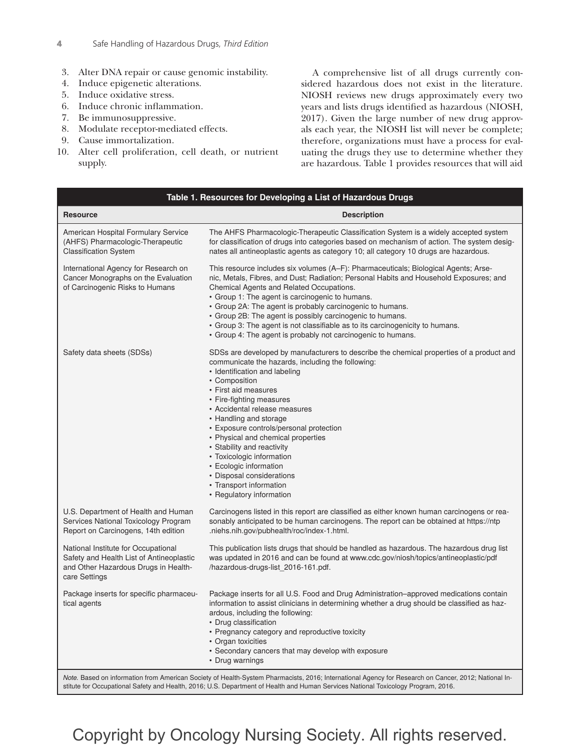- 3. Alter DNA repair or cause genomic instability.
- 4. Induce epigenetic alterations.
- 5. Induce oxidative stress.
- 6. Induce chronic inflammation.
- 7. Be immunosuppressive.
- 8. Modulate receptor-mediated effects.
- 9. Cause immortalization.
- 10. Alter cell proliferation, cell death, or nutrient supply.

A comprehensive list of all drugs currently considered hazardous does not exist in the literature. NIOSH reviews new drugs approximately every two years and lists drugs identified as hazardous (NIOSH, 2017). Given the large number of new drug approvals each year, the NIOSH list will never be complete; therefore, organizations must have a process for evaluating the drugs they use to determine whether they are hazardous. Table 1 provides resources that will aid

| Table 1. Resources for Developing a List of Hazardous Drugs                                                                              |                                                                                                                                                                                                                                                                                                                                                                                                                                                                                                                                                                          |
|------------------------------------------------------------------------------------------------------------------------------------------|--------------------------------------------------------------------------------------------------------------------------------------------------------------------------------------------------------------------------------------------------------------------------------------------------------------------------------------------------------------------------------------------------------------------------------------------------------------------------------------------------------------------------------------------------------------------------|
| <b>Resource</b>                                                                                                                          | <b>Description</b>                                                                                                                                                                                                                                                                                                                                                                                                                                                                                                                                                       |
| American Hospital Formulary Service<br>(AHFS) Pharmacologic-Therapeutic<br><b>Classification System</b>                                  | The AHFS Pharmacologic-Therapeutic Classification System is a widely accepted system<br>for classification of drugs into categories based on mechanism of action. The system desig-<br>nates all antineoplastic agents as category 10; all category 10 drugs are hazardous.                                                                                                                                                                                                                                                                                              |
| International Agency for Research on<br>Cancer Monographs on the Evaluation<br>of Carcinogenic Risks to Humans                           | This resource includes six volumes (A–F): Pharmaceuticals; Biological Agents; Arse-<br>nic, Metals, Fibres, and Dust; Radiation; Personal Habits and Household Exposures; and<br>Chemical Agents and Related Occupations.<br>• Group 1: The agent is carcinogenic to humans.<br>• Group 2A: The agent is probably carcinogenic to humans.<br>• Group 2B: The agent is possibly carcinogenic to humans.<br>• Group 3: The agent is not classifiable as to its carcinogenicity to humans.<br>• Group 4: The agent is probably not carcinogenic to humans.                  |
| Safety data sheets (SDSs)                                                                                                                | SDSs are developed by manufacturers to describe the chemical properties of a product and<br>communicate the hazards, including the following:<br>• Identification and labeling<br>• Composition<br>• First aid measures<br>• Fire-fighting measures<br>• Accidental release measures<br>• Handling and storage<br>• Exposure controls/personal protection<br>• Physical and chemical properties<br>• Stability and reactivity<br>• Toxicologic information<br>• Ecologic information<br>• Disposal considerations<br>• Transport information<br>• Regulatory information |
| U.S. Department of Health and Human<br>Services National Toxicology Program<br>Report on Carcinogens, 14th edition                       | Carcinogens listed in this report are classified as either known human carcinogens or rea-<br>sonably anticipated to be human carcinogens. The report can be obtained at https://ntp<br>.niehs.nih.gov/pubhealth/roc/index-1.html.                                                                                                                                                                                                                                                                                                                                       |
| National Institute for Occupational<br>Safety and Health List of Antineoplastic<br>and Other Hazardous Drugs in Health-<br>care Settings | This publication lists drugs that should be handled as hazardous. The hazardous drug list<br>was updated in 2016 and can be found at www.cdc.gov/niosh/topics/antineoplastic/pdf<br>/hazardous-drugs-list_2016-161.pdf.                                                                                                                                                                                                                                                                                                                                                  |
| Package inserts for specific pharmaceu-<br>tical agents                                                                                  | Package inserts for all U.S. Food and Drug Administration–approved medications contain<br>information to assist clinicians in determining whether a drug should be classified as haz-<br>ardous, including the following:<br>• Drug classification<br>• Pregnancy category and reproductive toxicity<br>• Organ toxicities<br>• Secondary cancers that may develop with exposure<br>• Drug warnings                                                                                                                                                                      |

## Copyright by Oncology Nursing Society. All rights reserved.

stitute for Occupational Safety and Health, 2016; U.S. Department of Health and Human Services National Toxicology Program, 2016.